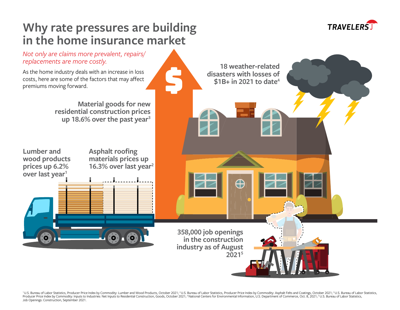

# **Why rate pressures are building in the home insurance market**

*Not only are claims more prevalent, repairs/ replacements are more costly.*

As the home industry deals with an increase in loss costs, here are some of the factors that may affect premiums moving forward.

> **Material goods for new residential construction prices up 18.6% over the past year3**

**Lumber and wood products prices up 6.2% over last year<sup>1</sup>** 

**Asphalt roofing materials prices up 16.3% over last year2**

> **358,000 job openings in the construction industry as of August 20215**

**18 weather-related** 

**disasters with losses of \$1B+ in 2021 to date4**

Œ

<sup>1</sup>U.S. Bureau of Labor Statistics, Producer Price Index by Commodity: Lumber and Wood Products, October 2021; <sup>2</sup>U.S. Bureau of Labor Statistics, Producer Price Index by Commodity: Lumber and Wood Products, October 2021; Producer Price Index by Commodity: Inputs to Industries: Net Inputs to Residential Construction, Goods, October 2021; "National Centers for Environmental Information, U.S. Department of Commerce, Oct. 8, 2021; <sup>s</sup>U.S. Bure